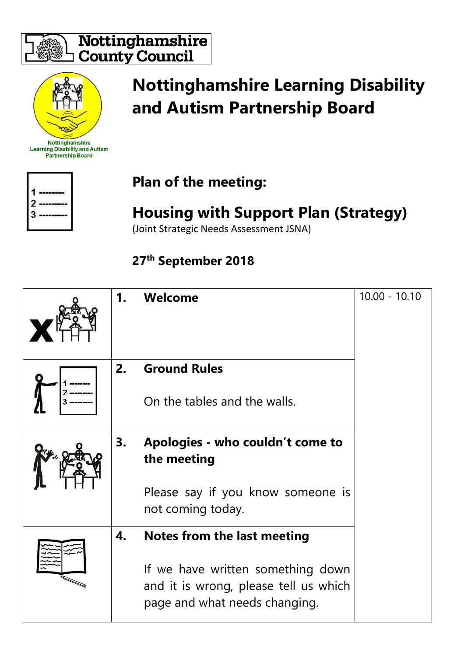

#### Nottinghamshire **County Council**



Nottinghamshire **Learning Disability and Autism Partnership Board** 

# **Nottinghamshire Learning Disability and Autism Partnership Board**



### **Plan of the meeting:**

## **Housing with Support Plan (Strategy)**

(Joint Strategic Needs Assessment JSNA)

#### **27th September 2018**

| 1. | Welcome                                                                                                     | $10.00 - 10.10$ |
|----|-------------------------------------------------------------------------------------------------------------|-----------------|
| 2. | <b>Ground Rules</b>                                                                                         |                 |
|    | On the tables and the walls.                                                                                |                 |
| 3. | Apologies - who couldn't come to<br>the meeting                                                             |                 |
|    | Please say if you know someone is<br>not coming today.                                                      |                 |
| 4. | Notes from the last meeting                                                                                 |                 |
|    | If we have written something down<br>and it is wrong, please tell us which<br>page and what needs changing. |                 |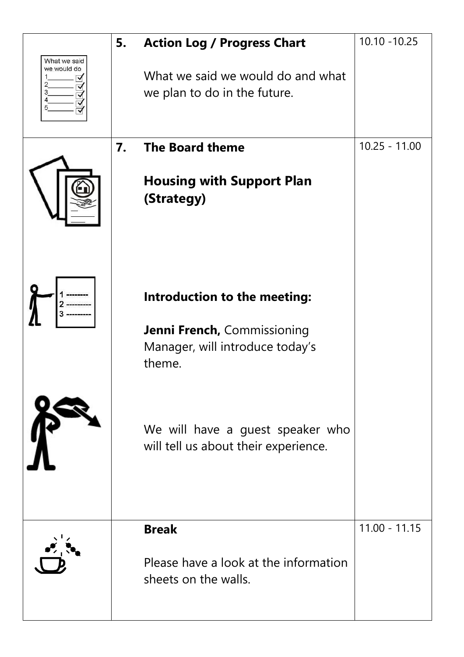|                                       | 5. | <b>Action Log / Progress Chart</b>                                            | $10.10 - 10.25$ |
|---------------------------------------|----|-------------------------------------------------------------------------------|-----------------|
| What we said<br>we would do<br>2<br>3 |    | What we said we would do and what<br>we plan to do in the future.             |                 |
|                                       | 7. | <b>The Board theme</b>                                                        | $10.25 - 11.00$ |
|                                       |    | <b>Housing with Support Plan</b><br>(Strategy)                                |                 |
|                                       |    | Introduction to the meeting:<br><b>Jenni French, Commissioning</b>            |                 |
|                                       |    | Manager, will introduce today's<br>theme.                                     |                 |
|                                       |    | We will have a guest speaker who<br>will tell us about their experience.      |                 |
|                                       |    | <b>Break</b><br>Please have a look at the information<br>sheets on the walls. | $11.00 - 11.15$ |